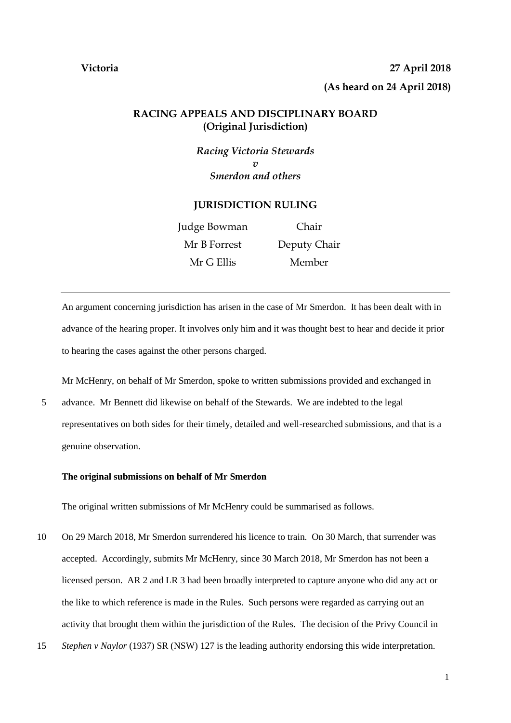# **Victoria 27 April 2018 (As heard on 24 April 2018)**

# **RACING APPEALS AND DISCIPLINARY BOARD (Original Jurisdiction)**

*Racing Victoria Stewards v Smerdon and others*

## **JURISDICTION RULING**

| Judge Bowman | Chair        |
|--------------|--------------|
| Mr B Forrest | Deputy Chair |
| Mr G Ellis   | Member       |

An argument concerning jurisdiction has arisen in the case of Mr Smerdon. It has been dealt with in advance of the hearing proper. It involves only him and it was thought best to hear and decide it prior to hearing the cases against the other persons charged.

Mr McHenry, on behalf of Mr Smerdon, spoke to written submissions provided and exchanged in

5 advance. Mr Bennett did likewise on behalf of the Stewards. We are indebted to the legal representatives on both sides for their timely, detailed and well-researched submissions, and that is a genuine observation.

### **The original submissions on behalf of Mr Smerdon**

The original written submissions of Mr McHenry could be summarised as follows.

- 10 On 29 March 2018, Mr Smerdon surrendered his licence to train. On 30 March, that surrender was accepted. Accordingly, submits Mr McHenry, since 30 March 2018, Mr Smerdon has not been a licensed person. AR 2 and LR 3 had been broadly interpreted to capture anyone who did any act or the like to which reference is made in the Rules. Such persons were regarded as carrying out an activity that brought them within the jurisdiction of the Rules. The decision of the Privy Council in
- 15 *Stephen v Naylor* (1937) SR (NSW) 127 is the leading authority endorsing this wide interpretation.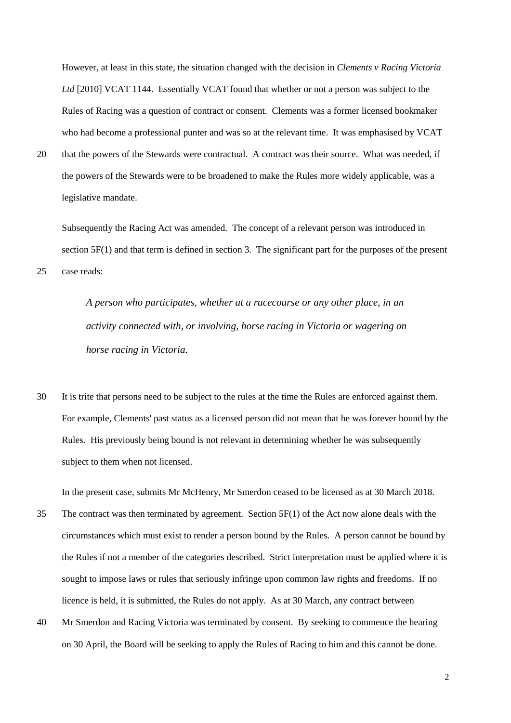However, at least in this state, the situation changed with the decision in *Clements v Racing Victoria Ltd* [2010] VCAT 1144. Essentially VCAT found that whether or not a person was subject to the Rules of Racing was a question of contract or consent. Clements was a former licensed bookmaker who had become a professional punter and was so at the relevant time. It was emphasised by VCAT

20 that the powers of the Stewards were contractual. A contract was their source. What was needed, if the powers of the Stewards were to be broadened to make the Rules more widely applicable, was a legislative mandate.

Subsequently the Racing Act was amended. The concept of a relevant person was introduced in section 5F(1) and that term is defined in section 3. The significant part for the purposes of the present 25 case reads:

> *A person who participates, whether at a racecourse or any other place, in an activity connected with, or involving, horse racing in Victoria or wagering on horse racing in Victoria.*

30 It is trite that persons need to be subject to the rules at the time the Rules are enforced against them. For example, Clements' past status as a licensed person did not mean that he was forever bound by the Rules. His previously being bound is not relevant in determining whether he was subsequently subject to them when not licensed.

In the present case, submits Mr McHenry, Mr Smerdon ceased to be licensed as at 30 March 2018.

- 35 The contract was then terminated by agreement. Section 5F(1) of the Act now alone deals with the circumstances which must exist to render a person bound by the Rules. A person cannot be bound by the Rules if not a member of the categories described. Strict interpretation must be applied where it is sought to impose laws or rules that seriously infringe upon common law rights and freedoms. If no licence is held, it is submitted, the Rules do not apply. As at 30 March, any contract between
- 40 Mr Smerdon and Racing Victoria was terminated by consent. By seeking to commence the hearing on 30 April, the Board will be seeking to apply the Rules of Racing to him and this cannot be done.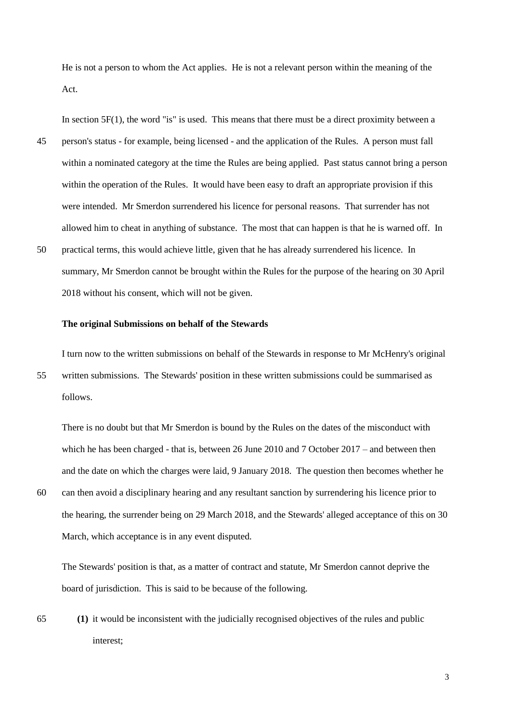He is not a person to whom the Act applies. He is not a relevant person within the meaning of the Act.

In section 5F(1), the word "is" is used. This means that there must be a direct proximity between a 45 person's status - for example, being licensed - and the application of the Rules. A person must fall within a nominated category at the time the Rules are being applied. Past status cannot bring a person within the operation of the Rules. It would have been easy to draft an appropriate provision if this were intended. Mr Smerdon surrendered his licence for personal reasons. That surrender has not allowed him to cheat in anything of substance. The most that can happen is that he is warned off. In 50 practical terms, this would achieve little, given that he has already surrendered his licence. In

summary, Mr Smerdon cannot be brought within the Rules for the purpose of the hearing on 30 April 2018 without his consent, which will not be given.

#### **The original Submissions on behalf of the Stewards**

I turn now to the written submissions on behalf of the Stewards in response to Mr McHenry's original 55 written submissions. The Stewards' position in these written submissions could be summarised as follows.

There is no doubt but that Mr Smerdon is bound by the Rules on the dates of the misconduct with which he has been charged - that is, between 26 June 2010 and 7 October 2017 – and between then and the date on which the charges were laid, 9 January 2018. The question then becomes whether he 60 can then avoid a disciplinary hearing and any resultant sanction by surrendering his licence prior to the hearing, the surrender being on 29 March 2018, and the Stewards' alleged acceptance of this on 30 March, which acceptance is in any event disputed.

The Stewards' position is that, as a matter of contract and statute, Mr Smerdon cannot deprive the board of jurisdiction. This is said to be because of the following.

65 **(1)** it would be inconsistent with the judicially recognised objectives of the rules and public interest;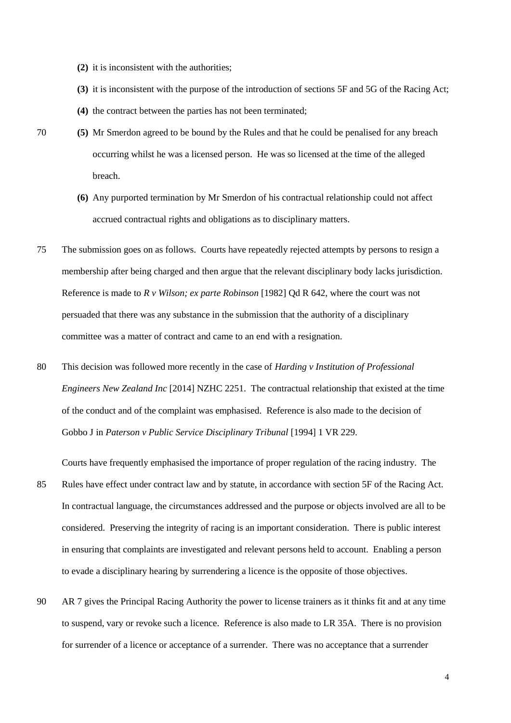- **(2)** it is inconsistent with the authorities;
- **(3)** it is inconsistent with the purpose of the introduction of sections 5F and 5G of the Racing Act;
- **(4)** the contract between the parties has not been terminated;
- 
- 70 **(5)** Mr Smerdon agreed to be bound by the Rules and that he could be penalised for any breach occurring whilst he was a licensed person. He was so licensed at the time of the alleged breach.
	- **(6)** Any purported termination by Mr Smerdon of his contractual relationship could not affect accrued contractual rights and obligations as to disciplinary matters.
- 75 The submission goes on as follows. Courts have repeatedly rejected attempts by persons to resign a membership after being charged and then argue that the relevant disciplinary body lacks jurisdiction. Reference is made to *R v Wilson; ex parte Robinson* [1982] Qd R 642, where the court was not persuaded that there was any substance in the submission that the authority of a disciplinary committee was a matter of contract and came to an end with a resignation.
- 80 This decision was followed more recently in the case of *Harding v Institution of Professional Engineers New Zealand Inc* [2014] NZHC 2251. The contractual relationship that existed at the time of the conduct and of the complaint was emphasised. Reference is also made to the decision of Gobbo J in *Paterson v Public Service Disciplinary Tribunal* [1994] 1 VR 229.

Courts have frequently emphasised the importance of proper regulation of the racing industry. The

- 85 Rules have effect under contract law and by statute, in accordance with section 5F of the Racing Act. In contractual language, the circumstances addressed and the purpose or objects involved are all to be considered. Preserving the integrity of racing is an important consideration. There is public interest in ensuring that complaints are investigated and relevant persons held to account. Enabling a person to evade a disciplinary hearing by surrendering a licence is the opposite of those objectives.
- 90 AR 7 gives the Principal Racing Authority the power to license trainers as it thinks fit and at any time to suspend, vary or revoke such a licence. Reference is also made to LR 35A. There is no provision for surrender of a licence or acceptance of a surrender. There was no acceptance that a surrender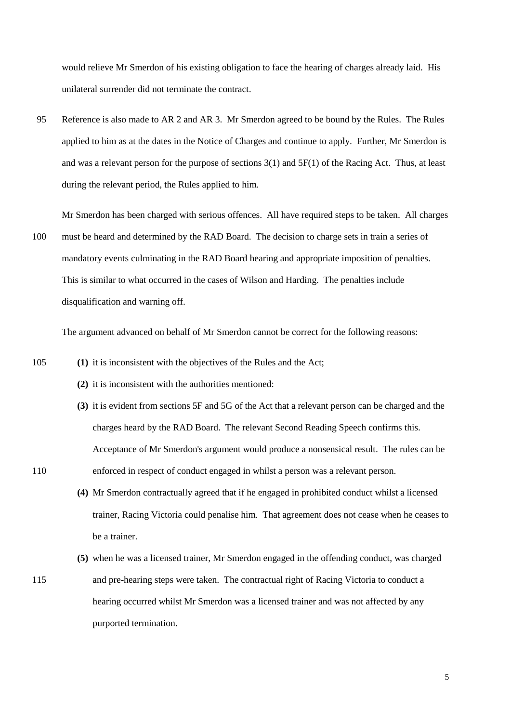would relieve Mr Smerdon of his existing obligation to face the hearing of charges already laid. His unilateral surrender did not terminate the contract.

95 Reference is also made to AR 2 and AR 3. Mr Smerdon agreed to be bound by the Rules. The Rules applied to him as at the dates in the Notice of Charges and continue to apply. Further, Mr Smerdon is and was a relevant person for the purpose of sections 3(1) and 5F(1) of the Racing Act. Thus, at least during the relevant period, the Rules applied to him.

Mr Smerdon has been charged with serious offences. All have required steps to be taken. All charges 100 must be heard and determined by the RAD Board. The decision to charge sets in train a series of mandatory events culminating in the RAD Board hearing and appropriate imposition of penalties. This is similar to what occurred in the cases of Wilson and Harding. The penalties include disqualification and warning off.

The argument advanced on behalf of Mr Smerdon cannot be correct for the following reasons:

- 105 **(1)** it is inconsistent with the objectives of the Rules and the Act;
	- **(2)** it is inconsistent with the authorities mentioned:
- **(3)** it is evident from sections 5F and 5G of the Act that a relevant person can be charged and the charges heard by the RAD Board. The relevant Second Reading Speech confirms this. Acceptance of Mr Smerdon's argument would produce a nonsensical result. The rules can be 110 enforced in respect of conduct engaged in whilst a person was a relevant person.
	- **(4)** Mr Smerdon contractually agreed that if he engaged in prohibited conduct whilst a licensed trainer, Racing Victoria could penalise him. That agreement does not cease when he ceases to be a trainer.
- **(5)** when he was a licensed trainer, Mr Smerdon engaged in the offending conduct, was charged 115 and pre-hearing steps were taken. The contractual right of Racing Victoria to conduct a hearing occurred whilst Mr Smerdon was a licensed trainer and was not affected by any purported termination.

5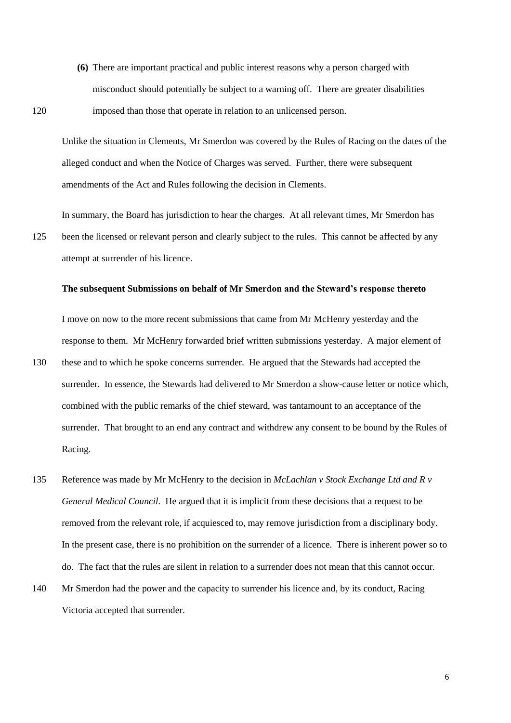**(6)** There are important practical and public interest reasons why a person charged with misconduct should potentially be subject to a warning off. There are greater disabilities 120 imposed than those that operate in relation to an unlicensed person.

Unlike the situation in Clements, Mr Smerdon was covered by the Rules of Racing on the dates of the alleged conduct and when the Notice of Charges was served. Further, there were subsequent amendments of the Act and Rules following the decision in Clements.

In summary, the Board has jurisdiction to hear the charges. At all relevant times, Mr Smerdon has 125 been the licensed or relevant person and clearly subject to the rules. This cannot be affected by any attempt at surrender of his licence.

#### **The subsequent Submissions on behalf of Mr Smerdon and the Steward's response thereto**

I move on now to the more recent submissions that came from Mr McHenry yesterday and the response to them. Mr McHenry forwarded brief written submissions yesterday. A major element of

- 130 these and to which he spoke concerns surrender. He argued that the Stewards had accepted the surrender. In essence, the Stewards had delivered to Mr Smerdon a show-cause letter or notice which, combined with the public remarks of the chief steward, was tantamount to an acceptance of the surrender. That brought to an end any contract and withdrew any consent to be bound by the Rules of Racing.
- 135 Reference was made by Mr McHenry to the decision in *McLachlan v Stock Exchange Ltd and R v General Medical Council.* He argued that it is implicit from these decisions that a request to be removed from the relevant role, if acquiesced to, may remove jurisdiction from a disciplinary body. In the present case, there is no prohibition on the surrender of a licence. There is inherent power so to do. The fact that the rules are silent in relation to a surrender does not mean that this cannot occur.
- 140 Mr Smerdon had the power and the capacity to surrender his licence and, by its conduct, Racing Victoria accepted that surrender.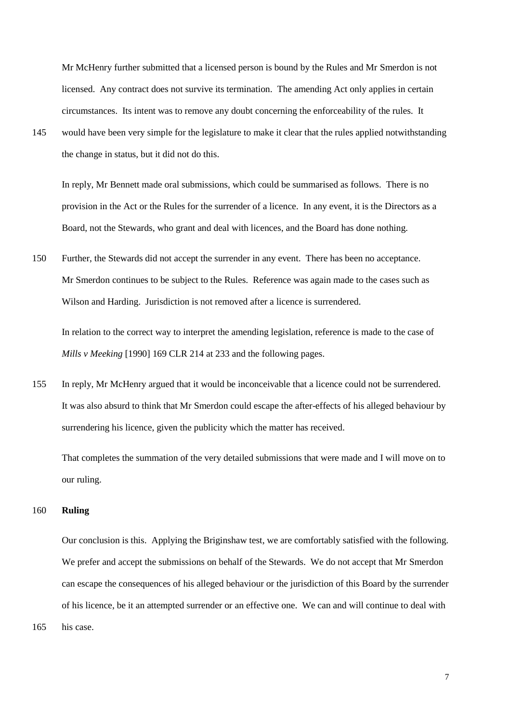Mr McHenry further submitted that a licensed person is bound by the Rules and Mr Smerdon is not licensed. Any contract does not survive its termination. The amending Act only applies in certain circumstances. Its intent was to remove any doubt concerning the enforceability of the rules. It

145 would have been very simple for the legislature to make it clear that the rules applied notwithstanding the change in status, but it did not do this.

In reply, Mr Bennett made oral submissions, which could be summarised as follows. There is no provision in the Act or the Rules for the surrender of a licence. In any event, it is the Directors as a Board, not the Stewards, who grant and deal with licences, and the Board has done nothing.

150 Further, the Stewards did not accept the surrender in any event. There has been no acceptance. Mr Smerdon continues to be subject to the Rules. Reference was again made to the cases such as Wilson and Harding. Jurisdiction is not removed after a licence is surrendered.

In relation to the correct way to interpret the amending legislation, reference is made to the case of *Mills v Meeking* [1990] 169 CLR 214 at 233 and the following pages.

155 In reply, Mr McHenry argued that it would be inconceivable that a licence could not be surrendered. It was also absurd to think that Mr Smerdon could escape the after-effects of his alleged behaviour by surrendering his licence, given the publicity which the matter has received.

That completes the summation of the very detailed submissions that were made and I will move on to our ruling.

#### 160 **Ruling**

Our conclusion is this. Applying the Briginshaw test, we are comfortably satisfied with the following. We prefer and accept the submissions on behalf of the Stewards. We do not accept that Mr Smerdon can escape the consequences of his alleged behaviour or the jurisdiction of this Board by the surrender of his licence, be it an attempted surrender or an effective one. We can and will continue to deal with

165 his case.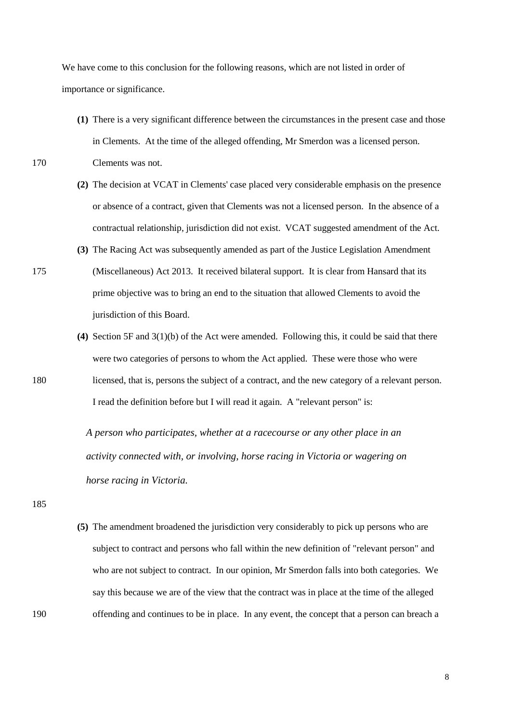We have come to this conclusion for the following reasons, which are not listed in order of importance or significance.

**(1)** There is a very significant difference between the circumstances in the present case and those in Clements. At the time of the alleged offending, Mr Smerdon was a licensed person. 170 Clements was not.

- **(2)** The decision at VCAT in Clements' case placed very considerable emphasis on the presence or absence of a contract, given that Clements was not a licensed person. In the absence of a contractual relationship, jurisdiction did not exist. VCAT suggested amendment of the Act.
- **(3)** The Racing Act was subsequently amended as part of the Justice Legislation Amendment
- 175 (Miscellaneous) Act 2013. It received bilateral support. It is clear from Hansard that its prime objective was to bring an end to the situation that allowed Clements to avoid the jurisdiction of this Board.
- **(4)** Section 5F and 3(1)(b) of the Act were amended. Following this, it could be said that there were two categories of persons to whom the Act applied. These were those who were 180 licensed, that is, persons the subject of a contract, and the new category of a relevant person. I read the definition before but I will read it again. A "relevant person" is:

*A person who participates, whether at a racecourse or any other place in an activity connected with, or involving, horse racing in Victoria or wagering on horse racing in Victoria.*

185

**(5)** The amendment broadened the jurisdiction very considerably to pick up persons who are subject to contract and persons who fall within the new definition of "relevant person" and who are not subject to contract. In our opinion, Mr Smerdon falls into both categories. We say this because we are of the view that the contract was in place at the time of the alleged 190 offending and continues to be in place. In any event, the concept that a person can breach a